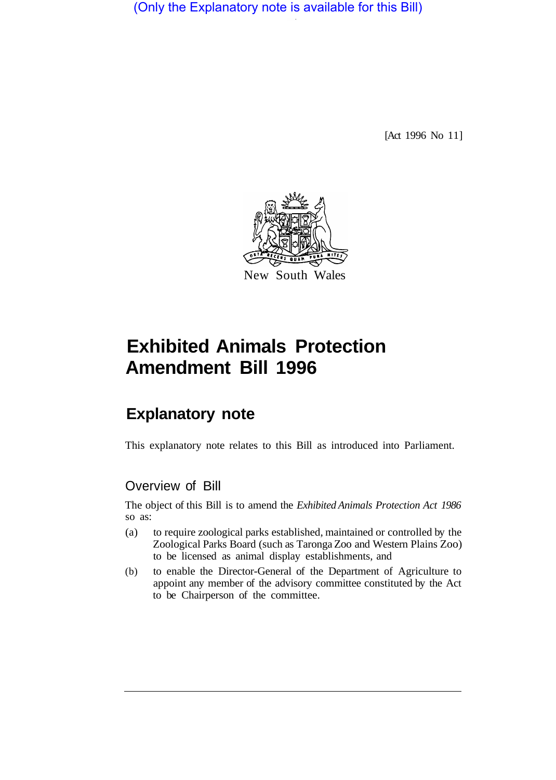(Only the Explanatory note is available for this Bill)

[Act 1996 No 11]



# **Exhibited Animals Protection Amendment Bill 1996**

## **Explanatory note**

This explanatory note relates to this Bill as introduced into Parliament.

## Overview of Bill

The object of this Bill is to amend the *Exhibited Animals Protection Act 1986*  so as:

- (a) to require zoological parks established, maintained or controlled by the Zoological Parks Board (such as Taronga Zoo and Western Plains Zoo) to be licensed as animal display establishments, and
- (b) to enable the Director-General of the Department of Agriculture to appoint any member of the advisory committee constituted by the Act to be Chairperson of the committee.